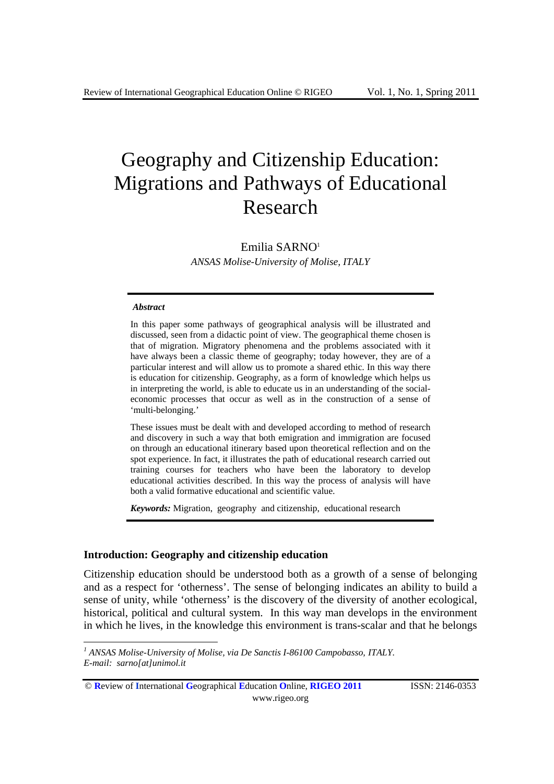# Geography and Citizenship Education: Migrations and Pathways of Educational Research

Emilia SARNO1 *ANSAS Molise-University of Molise, ITALY* 

#### *Abstract*

1

In this paper some pathways of geographical analysis will be illustrated and discussed, seen from a didactic point of view. The geographical theme chosen is that of migration. Migratory phenomena and the problems associated with it have always been a classic theme of geography; today however, they are of a particular interest and will allow us to promote a shared ethic. In this way there is education for citizenship. Geography, as a form of knowledge which helps us in interpreting the world, is able to educate us in an understanding of the socialeconomic processes that occur as well as in the construction of a sense of 'multi-belonging.'

These issues must be dealt with and developed according to method of research and discovery in such a way that both emigration and immigration are focused on through an educational itinerary based upon theoretical reflection and on the spot experience. In fact, it illustrates the path of educational research carried out training courses for teachers who have been the laboratory to develop educational activities described. In this way the process of analysis will have both a valid formative educational and scientific value.

*Keywords:* Migration, geography and citizenship, educational research

## **Introduction: Geography and citizenship education**

Citizenship education should be understood both as a growth of a sense of belonging and as a respect for 'otherness'. The sense of belonging indicates an ability to build a sense of unity, while 'otherness' is the discovery of the diversity of another ecological, historical, political and cultural system. In this way man develops in the environment in which he lives, in the knowledge this environment is trans-scalar and that he belongs

*<sup>1</sup> ANSAS Molise-University of Molise, via De Sanctis I-86100 Campobasso, ITALY. E-mail: sarno[at]unimol.it* 

<sup>©</sup> **R**eview of **I**nternational **G**eographical **E**ducation **O**nline, **RIGEO 2011** ISSN: 2146-0353 www.rigeo.org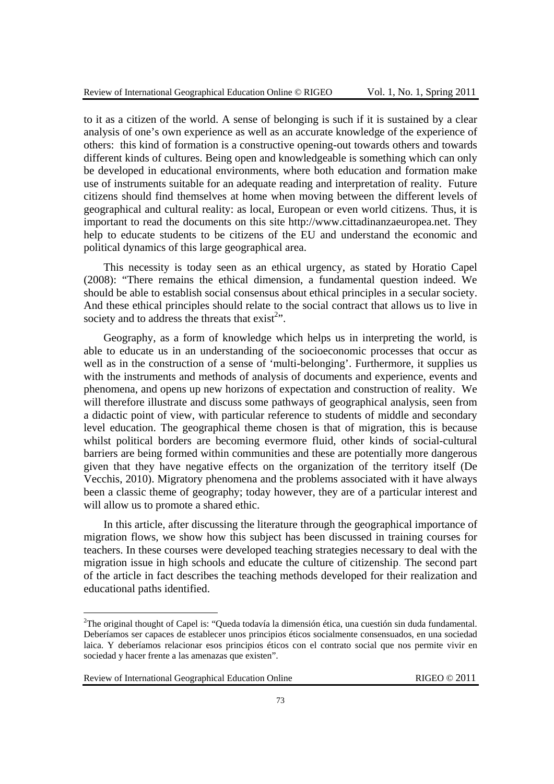to it as a citizen of the world. A sense of belonging is such if it is sustained by a clear analysis of one's own experience as well as an accurate knowledge of the experience of others: this kind of formation is a constructive opening-out towards others and towards different kinds of cultures. Being open and knowledgeable is something which can only be developed in educational environments, where both education and formation make use of instruments suitable for an adequate reading and interpretation of reality. Future citizens should find themselves at home when moving between the different levels of geographical and cultural reality: as local, European or even world citizens. Thus, it is important to read the documents on this site http://www.cittadinanzaeuropea.net. They help to educate students to be citizens of the EU and understand the economic and political dynamics of this large geographical area.

This necessity is today seen as an ethical urgency, as stated by Horatio Capel (2008): "There remains the ethical dimension, a fundamental question indeed. We should be able to establish social consensus about ethical principles in a secular society. And these ethical principles should relate to the social contract that allows us to live in society and to address the threats that  $exist<sup>2</sup>$ .

Geography, as a form of knowledge which helps us in interpreting the world, is able to educate us in an understanding of the socioeconomic processes that occur as well as in the construction of a sense of 'multi-belonging'. Furthermore, it supplies us with the instruments and methods of analysis of documents and experience, events and phenomena, and opens up new horizons of expectation and construction of reality. We will therefore illustrate and discuss some pathways of geographical analysis, seen from a didactic point of view, with particular reference to students of middle and secondary level education. The geographical theme chosen is that of migration, this is because whilst political borders are becoming evermore fluid, other kinds of social-cultural barriers are being formed within communities and these are potentially more dangerous given that they have negative effects on the organization of the territory itself (De Vecchis, 2010). Migratory phenomena and the problems associated with it have always been a classic theme of geography; today however, they are of a particular interest and will allow us to promote a shared ethic.

In this article, after discussing the literature through the geographical importance of migration flows, we show how this subject has been discussed in training courses for teachers. In these courses were developed teaching strategies necessary to deal with the migration issue in high schools and educate the culture of citizenship. The second part of the article in fact describes the teaching methods developed for their realization and educational paths identified.

Review of International Geographical Education Online RIGEO © 2011

1

<sup>&</sup>lt;sup>2</sup>The original thought of Capel is: "Queda todavía la dimensión ética, una cuestión sin duda fundamental. Deberíamos ser capaces de establecer unos principios éticos socialmente consensuados, en una sociedad laica. Y deberíamos relacionar esos principios éticos con el contrato social que nos permite vivir en sociedad y hacer frente a las amenazas que existen".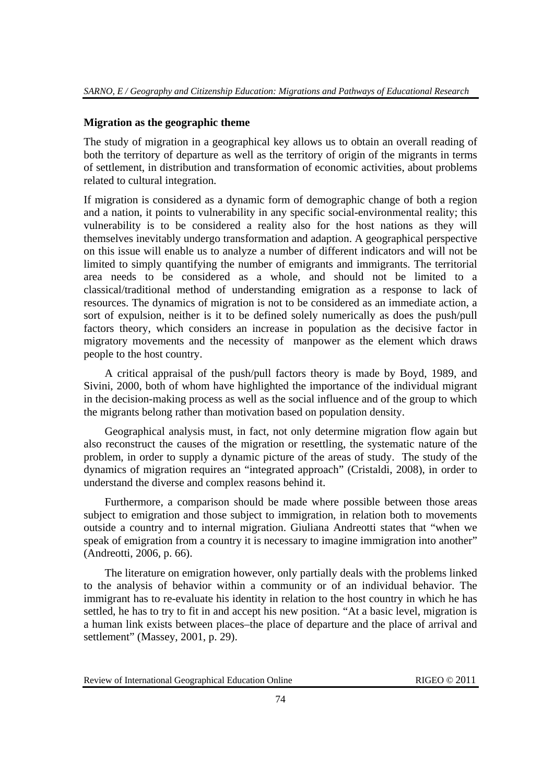# **Migration as the geographic theme**

The study of migration in a geographical key allows us to obtain an overall reading of both the territory of departure as well as the territory of origin of the migrants in terms of settlement, in distribution and transformation of economic activities, about problems related to cultural integration.

If migration is considered as a dynamic form of demographic change of both a region and a nation, it points to vulnerability in any specific social-environmental reality; this vulnerability is to be considered a reality also for the host nations as they will themselves inevitably undergo transformation and adaption. A geographical perspective on this issue will enable us to analyze a number of different indicators and will not be limited to simply quantifying the number of emigrants and immigrants. The territorial area needs to be considered as a whole, and should not be limited to a classical/traditional method of understanding emigration as a response to lack of resources. The dynamics of migration is not to be considered as an immediate action, a sort of expulsion, neither is it to be defined solely numerically as does the push/pull factors theory, which considers an increase in population as the decisive factor in migratory movements and the necessity of manpower as the element which draws people to the host country.

 A critical appraisal of the push/pull factors theory is made by Boyd, 1989, and Sivini, 2000, both of whom have highlighted the importance of the individual migrant in the decision-making process as well as the social influence and of the group to which the migrants belong rather than motivation based on population density.

 Geographical analysis must, in fact, not only determine migration flow again but also reconstruct the causes of the migration or resettling, the systematic nature of the problem, in order to supply a dynamic picture of the areas of study. The study of the dynamics of migration requires an "integrated approach" (Cristaldi, 2008), in order to understand the diverse and complex reasons behind it.

 Furthermore, a comparison should be made where possible between those areas subject to emigration and those subject to immigration, in relation both to movements outside a country and to internal migration. Giuliana Andreotti states that "when we speak of emigration from a country it is necessary to imagine immigration into another" (Andreotti, 2006, p. 66).

 The literature on emigration however, only partially deals with the problems linked to the analysis of behavior within a community or of an individual behavior. The immigrant has to re-evaluate his identity in relation to the host country in which he has settled, he has to try to fit in and accept his new position. "At a basic level, migration is a human link exists between places–the place of departure and the place of arrival and settlement" (Massey, 2001, p. 29).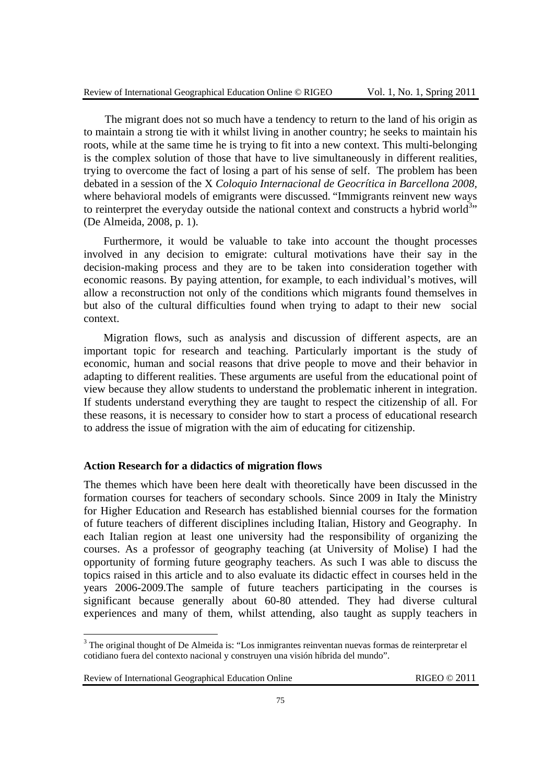The migrant does not so much have a tendency to return to the land of his origin as to maintain a strong tie with it whilst living in another country; he seeks to maintain his roots, while at the same time he is trying to fit into a new context. This multi-belonging is the complex solution of those that have to live simultaneously in different realities, trying to overcome the fact of losing a part of his sense of self. The problem has been debated in a session of the X *Coloquio Internacional de Geocrítica in Barcellona 2008,*  where behavioral models of emigrants were discussed. "Immigrants reinvent new ways to reinterpret the everyday outside the national context and constructs a hybrid world<sup>3</sup><sup>3</sup> (De Almeida, 2008, p. 1).

Furthermore, it would be valuable to take into account the thought processes involved in any decision to emigrate: cultural motivations have their say in the decision-making process and they are to be taken into consideration together with economic reasons. By paying attention, for example, to each individual's motives, will allow a reconstruction not only of the conditions which migrants found themselves in but also of the cultural difficulties found when trying to adapt to their new social context.

Migration flows, such as analysis and discussion of different aspects, are an important topic for research and teaching. Particularly important is the study of economic, human and social reasons that drive people to move and their behavior in adapting to different realities. These arguments are useful from the educational point of view because they allow students to understand the problematic inherent in integration. If students understand everything they are taught to respect the citizenship of all. For these reasons, it is necessary to consider how to start a process of educational research to address the issue of migration with the aim of educating for citizenship.

## **Action Research for a didactics of migration flows**

The themes which have been here dealt with theoretically have been discussed in the formation courses for teachers of secondary schools. Since 2009 in Italy the Ministry for Higher Education and Research has established biennial courses for the formation of future teachers of different disciplines including Italian, History and Geography. In each Italian region at least one university had the responsibility of organizing the courses. As a professor of geography teaching (at University of Molise) I had the opportunity of forming future geography teachers. As such I was able to discuss the topics raised in this article and to also evaluate its didactic effect in courses held in the years 2006-2009.The sample of future teachers participating in the courses is significant because generally about 60-80 attended. They had diverse cultural experiences and many of them, whilst attending, also taught as supply teachers in

<u>.</u>

<sup>&</sup>lt;sup>3</sup> The original thought of De Almeida is: "Los inmigrantes reinventan nuevas formas de reinterpretar el cotidiano fuera del contexto nacional y construyen una visión híbrida del mundo".

Review of International Geographical Education Online RIGEO © 2011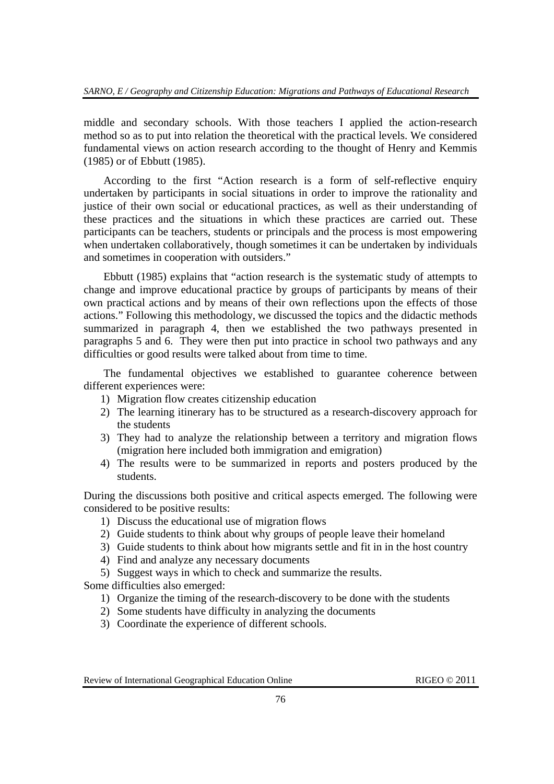middle and secondary schools. With those teachers I applied the action-research method so as to put into relation the theoretical with the practical levels. We considered fundamental views on action research according to the thought of Henry and Kemmis (1985) or of Ebbutt (1985).

According to the first "Action research is a form of self-reflective enquiry undertaken by participants in social situations in order to improve the rationality and justice of their own social or educational practices, as well as their understanding of these practices and the situations in which these practices are carried out. These participants can be teachers, students or principals and the process is most empowering when undertaken collaboratively, though sometimes it can be undertaken by individuals and sometimes in cooperation with outsiders."

Ebbutt (1985) explains that "action research is the systematic study of attempts to change and improve educational practice by groups of participants by means of their own practical actions and by means of their own reflections upon the effects of those actions." Following this methodology, we discussed the topics and the didactic methods summarized in paragraph 4, then we established the two pathways presented in paragraphs 5 and 6. They were then put into practice in school two pathways and any difficulties or good results were talked about from time to time.

The fundamental objectives we established to guarantee coherence between different experiences were:

- 1) Migration flow creates citizenship education
- 2) The learning itinerary has to be structured as a research-discovery approach for the students
- 3) They had to analyze the relationship between a territory and migration flows (migration here included both immigration and emigration)
- 4) The results were to be summarized in reports and posters produced by the students.

During the discussions both positive and critical aspects emerged. The following were considered to be positive results:

- 1) Discuss the educational use of migration flows
- 2) Guide students to think about why groups of people leave their homeland
- 3) Guide students to think about how migrants settle and fit in in the host country
- 4) Find and analyze any necessary documents
- 5) Suggest ways in which to check and summarize the results.

Some difficulties also emerged:

- 1) Organize the timing of the research-discovery to be done with the students
- 2) Some students have difficulty in analyzing the documents
- 3) Coordinate the experience of different schools.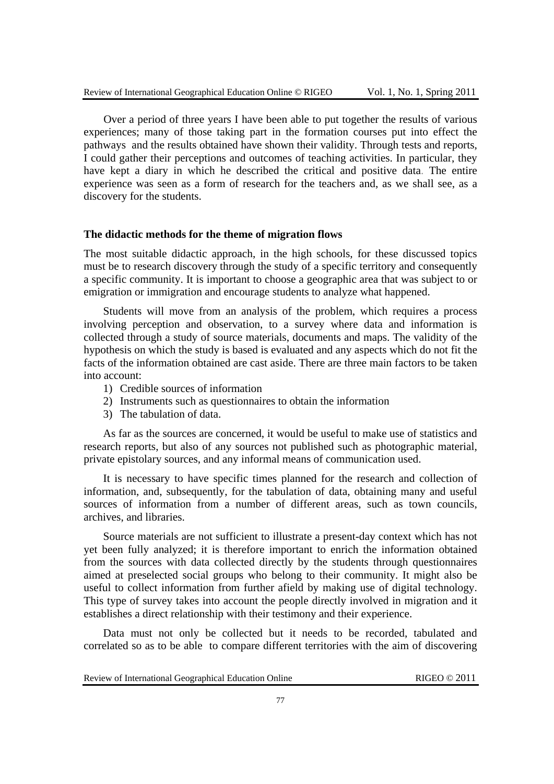Over a period of three years I have been able to put together the results of various experiences; many of those taking part in the formation courses put into effect the pathways and the results obtained have shown their validity. Through tests and reports, I could gather their perceptions and outcomes of teaching activities. In particular, they have kept a diary in which he described the critical and positive data. The entire experience was seen as a form of research for the teachers and, as we shall see, as a discovery for the students.

#### **The didactic methods for the theme of migration flows**

The most suitable didactic approach, in the high schools, for these discussed topics must be to research discovery through the study of a specific territory and consequently a specific community. It is important to choose a geographic area that was subject to or emigration or immigration and encourage students to analyze what happened.

Students will move from an analysis of the problem, which requires a process involving perception and observation, to a survey where data and information is collected through a study of source materials, documents and maps. The validity of the hypothesis on which the study is based is evaluated and any aspects which do not fit the facts of the information obtained are cast aside. There are three main factors to be taken into account:

- 1) Credible sources of information
- 2) Instruments such as questionnaires to obtain the information
- 3) The tabulation of data.

As far as the sources are concerned, it would be useful to make use of statistics and research reports, but also of any sources not published such as photographic material, private epistolary sources, and any informal means of communication used.

It is necessary to have specific times planned for the research and collection of information, and, subsequently, for the tabulation of data, obtaining many and useful sources of information from a number of different areas, such as town councils, archives, and libraries.

Source materials are not sufficient to illustrate a present-day context which has not yet been fully analyzed; it is therefore important to enrich the information obtained from the sources with data collected directly by the students through questionnaires aimed at preselected social groups who belong to their community. It might also be useful to collect information from further afield by making use of digital technology. This type of survey takes into account the people directly involved in migration and it establishes a direct relationship with their testimony and their experience.

Data must not only be collected but it needs to be recorded, tabulated and correlated so as to be able to compare different territories with the aim of discovering

| Review of International Geographical Education Online |  |  |  |
|-------------------------------------------------------|--|--|--|
|-------------------------------------------------------|--|--|--|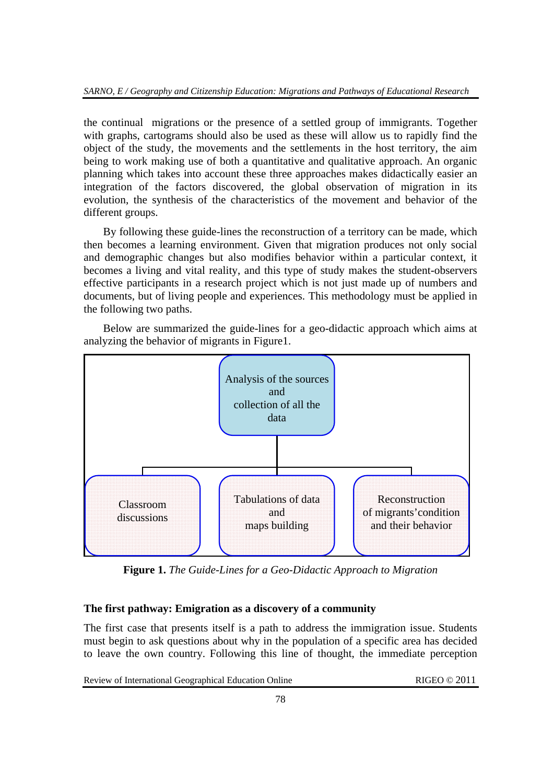the continual migrations or the presence of a settled group of immigrants. Together with graphs, cartograms should also be used as these will allow us to rapidly find the object of the study, the movements and the settlements in the host territory, the aim being to work making use of both a quantitative and qualitative approach. An organic planning which takes into account these three approaches makes didactically easier an integration of the factors discovered, the global observation of migration in its evolution, the synthesis of the characteristics of the movement and behavior of the different groups.

By following these guide-lines the reconstruction of a territory can be made, which then becomes a learning environment. Given that migration produces not only social and demographic changes but also modifies behavior within a particular context, it becomes a living and vital reality, and this type of study makes the student-observers effective participants in a research project which is not just made up of numbers and documents, but of living people and experiences. This methodology must be applied in the following two paths.

Below are summarized the guide-lines for a geo-didactic approach which aims at analyzing the behavior of migrants in Figure1.



**Figure 1.** *The Guide-Lines for a Geo-Didactic Approach to Migration*

# **The first pathway: Emigration as a discovery of a community**

The first case that presents itself is a path to address the immigration issue. Students must begin to ask questions about why in the population of a specific area has decided to leave the own country. Following this line of thought, the immediate perception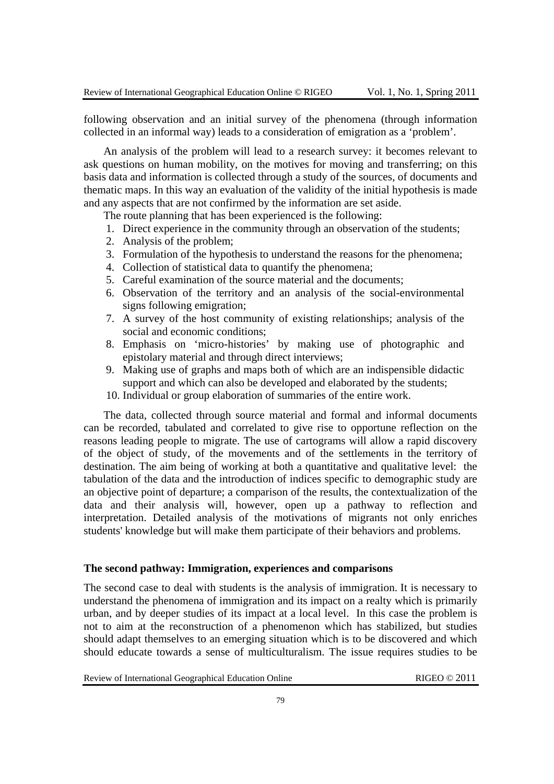following observation and an initial survey of the phenomena (through information collected in an informal way) leads to a consideration of emigration as a 'problem'.

An analysis of the problem will lead to a research survey: it becomes relevant to ask questions on human mobility, on the motives for moving and transferring; on this basis data and information is collected through a study of the sources, of documents and thematic maps. In this way an evaluation of the validity of the initial hypothesis is made and any aspects that are not confirmed by the information are set aside.

The route planning that has been experienced is the following:

- 1. Direct experience in the community through an observation of the students;
- 2. Analysis of the problem;
- 3. Formulation of the hypothesis to understand the reasons for the phenomena;
- 4. Collection of statistical data to quantify the phenomena;
- 5. Careful examination of the source material and the documents;
- 6. Observation of the territory and an analysis of the social-environmental signs following emigration;
- 7. A survey of the host community of existing relationships; analysis of the social and economic conditions;
- 8. Emphasis on 'micro-histories' by making use of photographic and epistolary material and through direct interviews;
- 9. Making use of graphs and maps both of which are an indispensible didactic support and which can also be developed and elaborated by the students;
- 10. Individual or group elaboration of summaries of the entire work.

The data, collected through source material and formal and informal documents can be recorded, tabulated and correlated to give rise to opportune reflection on the reasons leading people to migrate. The use of cartograms will allow a rapid discovery of the object of study, of the movements and of the settlements in the territory of destination. The aim being of working at both a quantitative and qualitative level: the tabulation of the data and the introduction of indices specific to demographic study are an objective point of departure; a comparison of the results, the contextualization of the data and their analysis will, however, open up a pathway to reflection and interpretation. Detailed analysis of the motivations of migrants not only enriches students' knowledge but will make them participate of their behaviors and problems.

### **The second pathway: Immigration, experiences and comparisons**

The second case to deal with students is the analysis of immigration. It is necessary to understand the phenomena of immigration and its impact on a realty which is primarily urban, and by deeper studies of its impact at a local level. In this case the problem is not to aim at the reconstruction of a phenomenon which has stabilized, but studies should adapt themselves to an emerging situation which is to be discovered and which should educate towards a sense of multiculturalism. The issue requires studies to be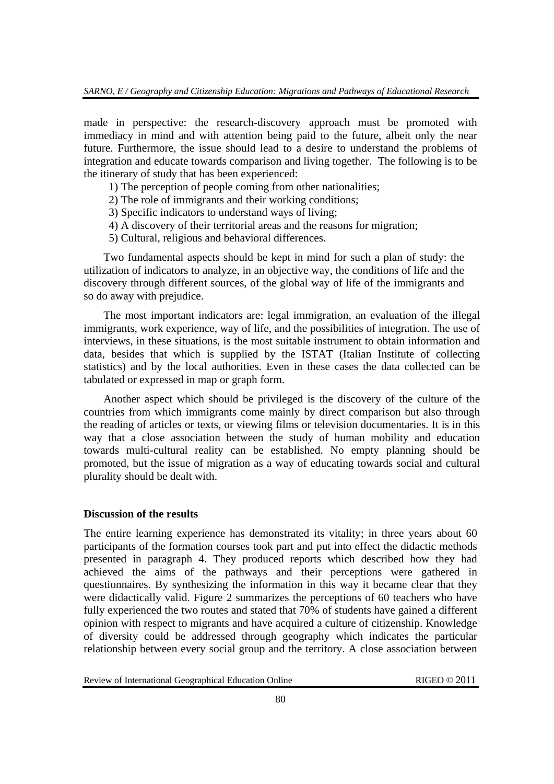made in perspective: the research-discovery approach must be promoted with immediacy in mind and with attention being paid to the future, albeit only the near future. Furthermore, the issue should lead to a desire to understand the problems of integration and educate towards comparison and living together. The following is to be the itinerary of study that has been experienced:

- 1) The perception of people coming from other nationalities;
- 2) The role of immigrants and their working conditions;
- 3) Specific indicators to understand ways of living;
- 4) A discovery of their territorial areas and the reasons for migration;
- 5) Cultural, religious and behavioral differences.

Two fundamental aspects should be kept in mind for such a plan of study: the utilization of indicators to analyze, in an objective way, the conditions of life and the discovery through different sources, of the global way of life of the immigrants and so do away with prejudice.

The most important indicators are: legal immigration, an evaluation of the illegal immigrants, work experience, way of life, and the possibilities of integration. The use of interviews, in these situations, is the most suitable instrument to obtain information and data, besides that which is supplied by the ISTAT (Italian Institute of collecting statistics) and by the local authorities. Even in these cases the data collected can be tabulated or expressed in map or graph form.

Another aspect which should be privileged is the discovery of the culture of the countries from which immigrants come mainly by direct comparison but also through the reading of articles or texts, or viewing films or television documentaries. It is in this way that a close association between the study of human mobility and education towards multi-cultural reality can be established. No empty planning should be promoted, but the issue of migration as a way of educating towards social and cultural plurality should be dealt with.

## **Discussion of the results**

The entire learning experience has demonstrated its vitality; in three years about 60 participants of the formation courses took part and put into effect the didactic methods presented in paragraph 4. They produced reports which described how they had achieved the aims of the pathways and their perceptions were gathered in questionnaires. By synthesizing the information in this way it became clear that they were didactically valid. Figure 2 summarizes the perceptions of 60 teachers who have fully experienced the two routes and stated that 70% of students have gained a different opinion with respect to migrants and have acquired a culture of citizenship. Knowledge of diversity could be addressed through geography which indicates the particular relationship between every social group and the territory. A close association between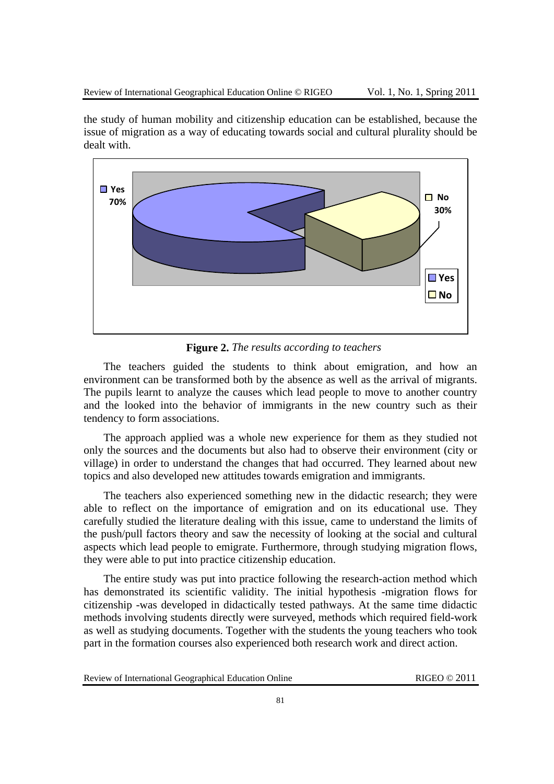the study of human mobility and citizenship education can be established, because the issue of migration as a way of educating towards social and cultural plurality should be dealt with.



**Figure 2.** *The results according to teachers*

The teachers guided the students to think about emigration, and how an environment can be transformed both by the absence as well as the arrival of migrants. The pupils learnt to analyze the causes which lead people to move to another country and the looked into the behavior of immigrants in the new country such as their tendency to form associations.

The approach applied was a whole new experience for them as they studied not only the sources and the documents but also had to observe their environment (city or village) in order to understand the changes that had occurred. They learned about new topics and also developed new attitudes towards emigration and immigrants.

The teachers also experienced something new in the didactic research; they were able to reflect on the importance of emigration and on its educational use. They carefully studied the literature dealing with this issue, came to understand the limits of the push/pull factors theory and saw the necessity of looking at the social and cultural aspects which lead people to emigrate. Furthermore, through studying migration flows, they were able to put into practice citizenship education.

The entire study was put into practice following the research-action method which has demonstrated its scientific validity. The initial hypothesis -migration flows for citizenship -was developed in didactically tested pathways. At the same time didactic methods involving students directly were surveyed, methods which required field-work as well as studying documents. Together with the students the young teachers who took part in the formation courses also experienced both research work and direct action.

| Review of International Geographical Education Online |  |
|-------------------------------------------------------|--|
|-------------------------------------------------------|--|

RIGEO  $@ 2011$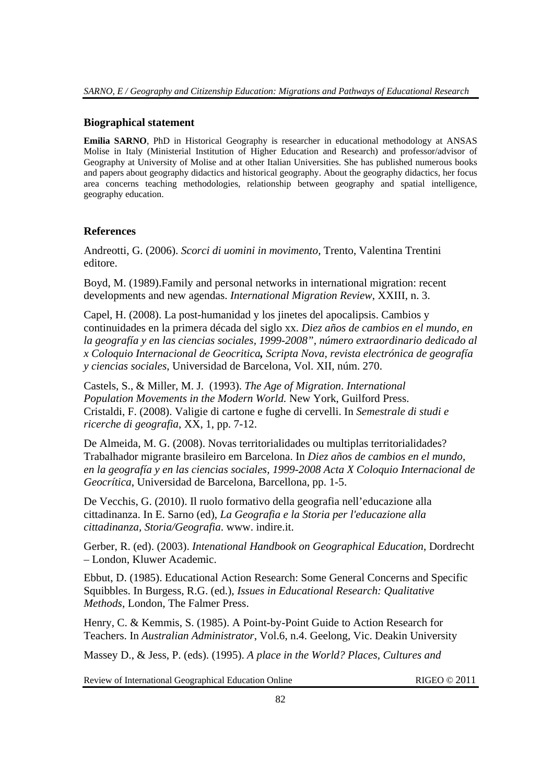## **Biographical statement**

**Emilia SARNO**, PhD in Historical Geography is researcher in educational methodology at ANSAS Molise in Italy (Ministerial Institution of Higher Education and Research) and professor/advisor of Geography at University of Molise and at other Italian Universities. She has published numerous books and papers about geography didactics and historical geography. About the geography didactics, her focus area concerns teaching methodologies, relationship between geography and spatial intelligence, geography education.

## **References**

Andreotti, G. (2006). *Scorci di uomini in movimento,* Trento, Valentina Trentini editore.

Boyd, M. (1989).Family and personal networks in international migration: recent developments and new agendas. *International Migration Review*, XXIII, n. 3.

Capel, H. (2008). La post-humanidad y los jinetes del apocalipsis. Cambios y continuidades en la primera década del siglo xx. *Diez años de cambios en el mundo, en la geografía y en las ciencias sociales, 1999-2008", número extraordinario dedicado al x Coloquio Internacional de Geocritica, Scripta Nova, revista electrónica de geografía y ciencias sociales*, Universidad de Barcelona, Vol. XII, núm. 270.

Castels, S., & Miller, M. J. (1993). *The Age of Migration*. *International Population Movements in the Modern World.* New York, Guilford Press. Cristaldi, F. (2008). Valigie di cartone e fughe di cervelli. In *Semestrale di studi e ricerche di geografia*, XX, 1, pp. 7-12.

De Almeida, M. G. (2008). Novas territorialidades ou multiplas territorialidades? Trabalhador migrante brasileiro em Barcelona. In *Diez años de cambios en el mundo, en la geografía y en las ciencias sociales, 1999-2008 Acta X Coloquio Internacional de Geocrítica*, Universidad de Barcelona, Barcellona, pp. 1-5.

De Vecchis, G. (2010). Il ruolo formativo della geografia nell'educazione alla cittadinanza. In E. Sarno (ed), *La Geografia e la Storia per l'educazione alla cittadinanza, Storia/Geografia*. www. indire.it.

Gerber, R. (ed). (2003). *Intenational Handbook on Geographical Education*, Dordrecht – London, Kluwer Academic.

Ebbut, D. (1985). Educational Action Research: Some General Concerns and Specific Squibbles. In Burgess, R.G. (ed.), *Issues in Educational Research: Qualitative Methods*, London, The Falmer Press.

Henry, C. & Kemmis, S. (1985). A Point-by-Point Guide to Action Research for Teachers. In *Australian Administrator*, Vol.6, n.4. Geelong, Vic. Deakin University

Massey D., & Jess, P. (eds). (1995). *A place in the World? Places, Cultures and*